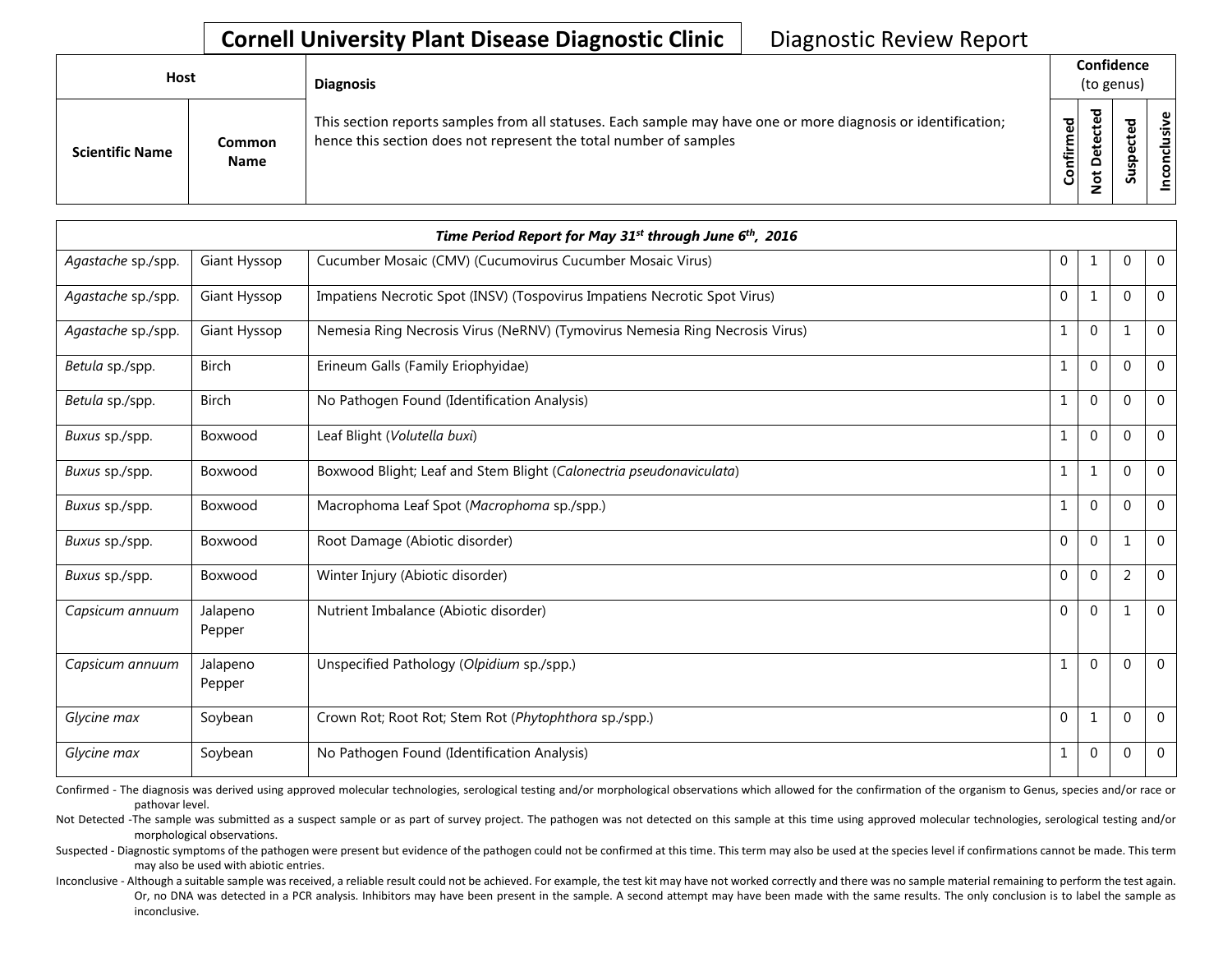## **Cornell University Plant Disease Diagnostic Clinic** | Diagnostic Review Report

| Host                   |                       | <b>Diagnosis</b>                                                                                                                                                                   |              | Confidence<br>(to genus)                  |                        |                                                              |  |
|------------------------|-----------------------|------------------------------------------------------------------------------------------------------------------------------------------------------------------------------------|--------------|-------------------------------------------|------------------------|--------------------------------------------------------------|--|
| <b>Scientific Name</b> | Common<br><b>Name</b> | This section reports samples from all statuses. Each sample may have one or more diagnosis or identification;<br>hence this section does not represent the total number of samples | ဥ<br>Confirm | ಕ<br>ω<br>Φ<br>پ<br>Φ<br>o<br>ى<br>۰<br>- | ᅙ<br>ഄ<br>요<br>ທ<br>ഄഁ | $\mathbf \omega$<br>.≥<br>$\overline{\mathbf{s}}$<br>᠊ᠣ<br>S |  |

|                    |                    | Time Period Report for May 31 <sup>st</sup> through June 6 <sup>th</sup> , 2016 |                |              |              |                |
|--------------------|--------------------|---------------------------------------------------------------------------------|----------------|--------------|--------------|----------------|
| Agastache sp./spp. | Giant Hyssop       | Cucumber Mosaic (CMV) (Cucumovirus Cucumber Mosaic Virus)                       | $\mathbf 0$    | 1            | 0            | $\mathbf 0$    |
| Agastache sp./spp. | Giant Hyssop       | Impatiens Necrotic Spot (INSV) (Tospovirus Impatiens Necrotic Spot Virus)       | $\mathbf{0}$   | 1            | $\mathbf 0$  | $\mathbf 0$    |
| Agastache sp./spp. | Giant Hyssop       | Nemesia Ring Necrosis Virus (NeRNV) (Tymovirus Nemesia Ring Necrosis Virus)     | 1              | $\mathbf 0$  | 1            | $\mathbf{0}$   |
| Betula sp./spp.    | <b>Birch</b>       | Erineum Galls (Family Eriophyidae)                                              | 1              | $\mathbf{0}$ | $\Omega$     | $\mathbf{0}$   |
| Betula sp./spp.    | <b>Birch</b>       | No Pathogen Found (Identification Analysis)                                     | $\mathbf{1}$   | $\mathbf{0}$ | $\mathbf{0}$ | $\mathbf{0}$   |
| Buxus sp./spp.     | Boxwood            | Leaf Blight (Volutella buxi)                                                    |                | $\mathbf{0}$ | $\Omega$     | $\mathbf{0}$   |
| Buxus sp./spp.     | Boxwood            | Boxwood Blight; Leaf and Stem Blight (Calonectria pseudonaviculata)             | 1              | 1            | $\Omega$     | $\overline{0}$ |
| Buxus sp./spp.     | Boxwood            | Macrophoma Leaf Spot (Macrophoma sp./spp.)                                      | 1              | $\mathbf 0$  | $\Omega$     | $\mathbf 0$    |
| Buxus sp./spp.     | Boxwood            | Root Damage (Abiotic disorder)                                                  | $\overline{0}$ | $\mathbf{0}$ | 1            | $\mathbf 0$    |
| Buxus sp./spp.     | Boxwood            | Winter Injury (Abiotic disorder)                                                | $\overline{0}$ | $\mathbf{0}$ | 2            | $\mathbf 0$    |
| Capsicum annuum    | Jalapeno<br>Pepper | Nutrient Imbalance (Abiotic disorder)                                           | $\overline{0}$ | $\mathbf{0}$ | 1            | $\overline{0}$ |
| Capsicum annuum    | Jalapeno<br>Pepper | Unspecified Pathology (Olpidium sp./spp.)                                       |                | $\mathbf{0}$ | $\mathbf 0$  | $\mathbf 0$    |
| Glycine max        | Soybean            | Crown Rot; Root Rot; Stem Rot (Phytophthora sp./spp.)                           | $\mathbf{0}$   | 1            | $\mathbf 0$  | $\mathbf 0$    |
| Glycine max        | Soybean            | No Pathogen Found (Identification Analysis)                                     | $\mathbf{1}$   | $\mathbf{0}$ | $\mathbf 0$  | $\mathbf 0$    |

Confirmed - The diagnosis was derived using approved molecular technologies, serological testing and/or morphological observations which allowed for the confirmation of the organism to Genus, species and/or race or pathovar level.

Not Detected -The sample was submitted as a suspect sample or as part of survey project. The pathogen was not detected on this sample at this time using approved molecular technologies, serological testing and/or morphological observations.

Suspected - Diagnostic symptoms of the pathogen were present but evidence of the pathogen could not be confirmed at this time. This term may also be used at the species level if confirmations cannot be made. This term may also be used with abiotic entries.

Inconclusive - Although a suitable sample was received, a reliable result could not be achieved. For example, the test kit may have not worked correctly and there was no sample material remaining to perform the test again. Or, no DNA was detected in a PCR analysis. Inhibitors may have been present in the sample. A second attempt may have been made with the same results. The only conclusion is to label the sample as inconclusive.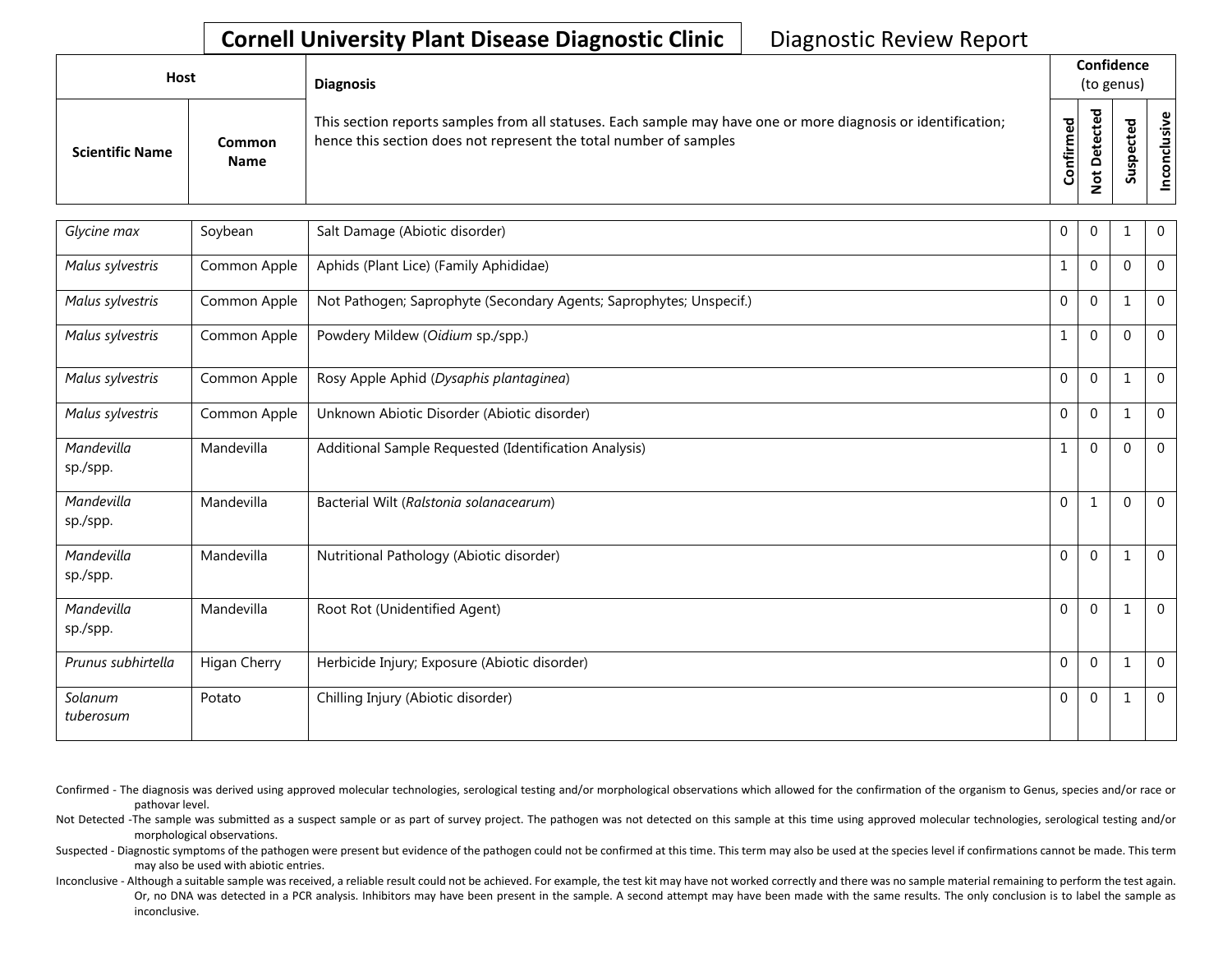## **Cornell University Plant Disease Diagnostic Clinic** | Diagnostic Review Report

| Host                   |                       | <b>Diagnosis</b>                                                                                                                                                                   |                        |        | Confidence<br>(to genus)     |                     |
|------------------------|-----------------------|------------------------------------------------------------------------------------------------------------------------------------------------------------------------------------|------------------------|--------|------------------------------|---------------------|
| <b>Scientific Name</b> | Common<br><b>Name</b> | This section reports samples from all statuses. Each sample may have one or more diagnosis or identification;<br>hence this section does not represent the total number of samples | ठ,<br>Φ<br>nfirm<br>පි | ъ<br>o | ъ<br>$\omega$<br>ω<br>௨<br>s | ഄ<br>siy<br>ã.<br>ū |

| Glycine max            | Soybean      | Salt Damage (Abiotic disorder)                                      | $\mathbf 0$  | $\Omega$     |          | $\mathbf 0$    |
|------------------------|--------------|---------------------------------------------------------------------|--------------|--------------|----------|----------------|
| Malus sylvestris       | Common Apple | Aphids (Plant Lice) (Family Aphididae)                              | 1            | $\mathbf 0$  | $\Omega$ | $\overline{0}$ |
| Malus sylvestris       | Common Apple | Not Pathogen; Saprophyte (Secondary Agents; Saprophytes; Unspecif.) | $\mathbf 0$  | $\mathbf 0$  |          | $\mathbf{0}$   |
| Malus sylvestris       | Common Apple | Powdery Mildew (Oidium sp./spp.)                                    | 1            | $\Omega$     | $\Omega$ | $\mathbf{0}$   |
| Malus sylvestris       | Common Apple | Rosy Apple Aphid (Dysaphis plantaginea)                             | $\mathbf 0$  | $\mathbf 0$  |          | $\mathbf{0}$   |
| Malus sylvestris       | Common Apple | Unknown Abiotic Disorder (Abiotic disorder)                         | $\mathbf 0$  | $\mathbf 0$  |          | $\mathbf 0$    |
| Mandevilla<br>sp./spp. | Mandevilla   | Additional Sample Requested (Identification Analysis)               | 1            | $\mathbf 0$  | $\Omega$ | $\overline{0}$ |
| Mandevilla<br>sp./spp. | Mandevilla   | Bacterial Wilt (Ralstonia solanacearum)                             | $\Omega$     | 1            | $\Omega$ | $\mathbf{0}$   |
| Mandevilla<br>sp./spp. | Mandevilla   | Nutritional Pathology (Abiotic disorder)                            | $\mathbf 0$  | $\mathbf 0$  | 1        | $\overline{0}$ |
| Mandevilla<br>sp./spp. | Mandevilla   | Root Rot (Unidentified Agent)                                       | $\mathbf{0}$ | $\mathbf{0}$ | 1        | $\overline{0}$ |
| Prunus subhirtella     | Higan Cherry | Herbicide Injury; Exposure (Abiotic disorder)                       | $\Omega$     | $\mathbf 0$  | 1        | $\overline{0}$ |
| Solanum<br>tuberosum   | Potato       | Chilling Injury (Abiotic disorder)                                  | $\mathbf 0$  | $\mathbf 0$  | 1        | $\mathbf 0$    |

Confirmed - The diagnosis was derived using approved molecular technologies, serological testing and/or morphological observations which allowed for the confirmation of the organism to Genus, species and/or race or pathovar level.

Not Detected -The sample was submitted as a suspect sample or as part of survey project. The pathogen was not detected on this sample at this time using approved molecular technologies, serological testing and/or morphological observations.

Suspected - Diagnostic symptoms of the pathogen were present but evidence of the pathogen could not be confirmed at this time. This term may also be used at the species level if confirmations cannot be made. This term may also be used with abiotic entries.

Inconclusive - Although a suitable sample was received, a reliable result could not be achieved. For example, the test kit may have not worked correctly and there was no sample material remaining to perform the test again. Or, no DNA was detected in a PCR analysis. Inhibitors may have been present in the sample. A second attempt may have been made with the same results. The only conclusion is to label the sample as inconclusive.